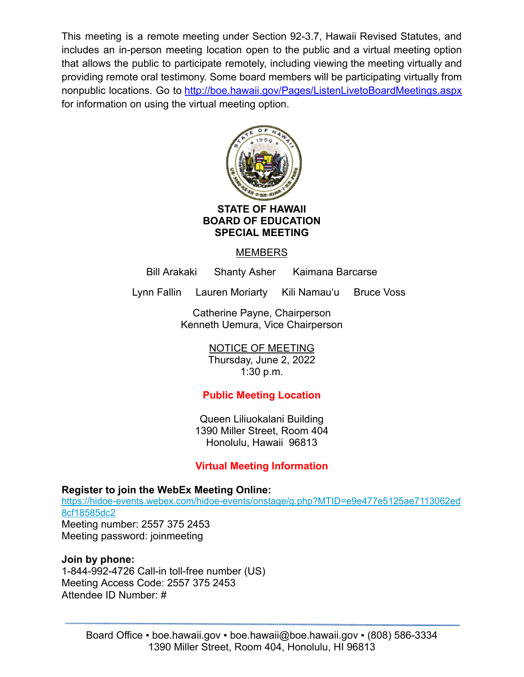This meeting is a remote meeting under Section 92-3.7, Hawaii Revised Statutes, and includes an in-person meeting location open to the public and a virtual meeting option that allows the public to participate remotely, including viewing the meeting virtually and providing remote oral testimony. Some board members will be participating virtually from nonpublic locations. Go to <http://boe.hawaii.gov/Pages/ListenLivetoBoardMeetings.aspx> for information on using the virtual meeting option.



**BOARD OF EDUCATION SPECIAL MEETING**

MEMBERS

Bill Arakaki Shanty Asher Kaimana Barcarse

Lynn Fallin Lauren Moriarty Kili Namauʻu Bruce Voss

Catherine Payne, Chairperson Kenneth Uemura, Vice Chairperson

> NOTICE OF MEETING Thursday, June 2, 2022 1:30 p.m.

# **Public Meeting Location**

Queen Liliuokalani Building 1390 Miller Street, Room 404 Honolulu, Hawaii 96813

# **Virtual Meeting Information**

**Register to join the WebEx Meeting Online:**

[https://hidoe-events.webex.com/hidoe-events/onstage/g.php?MTID=e9e477e5125ae7113062ed](https://hidoe-events.webex.com/hidoe-events/onstage/g.php?MTID=e9e477e5125ae7113062ed8cf18585dc2) [8cf18585dc2](https://hidoe-events.webex.com/hidoe-events/onstage/g.php?MTID=e9e477e5125ae7113062ed8cf18585dc2) Meeting number: 2557 375 2453 Meeting password: joinmeeting

## **Join by phone:**

1-844-992-4726 Call-in toll-free number (US) Meeting Access Code: 2557 375 2453 Attendee ID Number: #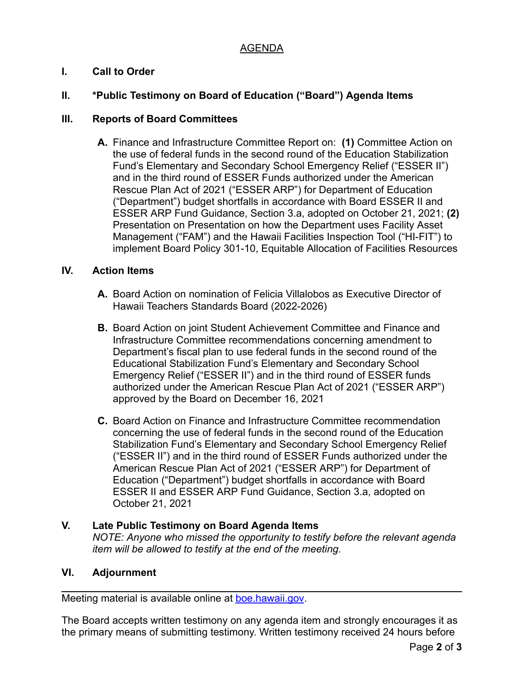## AGENDA

## **I. Call to Order**

## **II. \*Public Testimony on Board of Education ("Board") Agenda Items**

#### **III. Reports of Board Committees**

**A.** Finance and Infrastructure Committee Report on: **(1)** Committee Action on the use of federal funds in the second round of the Education Stabilization Fund's Elementary and Secondary School Emergency Relief ("ESSER II") and in the third round of ESSER Funds authorized under the American Rescue Plan Act of 2021 ("ESSER ARP") for Department of Education ("Department") budget shortfalls in accordance with Board ESSER II and ESSER ARP Fund Guidance, Section 3.a, adopted on October 21, 2021; **(2)** Presentation on Presentation on how the Department uses Facility Asset Management ("FAM") and the Hawaii Facilities Inspection Tool ("HI-FIT") to implement Board Policy 301-10, Equitable Allocation of Facilities Resources

#### **IV. Action Items**

- **A.** Board Action on nomination of Felicia Villalobos as Executive Director of Hawaii Teachers Standards Board (2022-2026)
- **B.** Board Action on joint Student Achievement Committee and Finance and Infrastructure Committee recommendations concerning amendment to Department's fiscal plan to use federal funds in the second round of the Educational Stabilization Fund's Elementary and Secondary School Emergency Relief ("ESSER II") and in the third round of ESSER funds authorized under the American Rescue Plan Act of 2021 ("ESSER ARP") approved by the Board on December 16, 2021
- **C.** Board Action on Finance and Infrastructure Committee recommendation concerning the use of federal funds in the second round of the Education Stabilization Fund's Elementary and Secondary School Emergency Relief ("ESSER II") and in the third round of ESSER Funds authorized under the American Rescue Plan Act of 2021 ("ESSER ARP") for Department of Education ("Department") budget shortfalls in accordance with Board ESSER II and ESSER ARP Fund Guidance, Section 3.a, adopted on October 21, 2021

### **V. Late Public Testimony on Board Agenda Items** *NOTE: Anyone who missed the opportunity to testify before the relevant agenda item will be allowed to testify at the end of the meeting.*

#### **VI. Adjournment**

Meeting material is available online at [boe.hawaii.gov.](http://boe.hawaii.gov/Pages/Welcome.aspx)

The Board accepts written testimony on any agenda item and strongly encourages it as the primary means of submitting testimony. Written testimony received 24 hours before